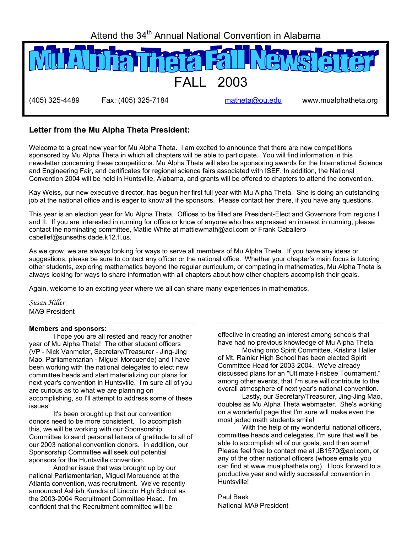Attend the 34<sup>th</sup> Annual National Convention in Alabama



### **Letter from the Mu Alpha Theta President:**

Welcome to a great new year for Mu Alpha Theta. I am excited to announce that there are new competitions sponsored by Mu Alpha Theta in which all chapters will be able to participate. You will find information in this newsletter concerning these competitions. Mu Alpha Theta will also be sponsoring awards for the International Science and Engineering Fair, and certificates for regional science fairs associated with ISEF. In addition, the National Convention 2004 will be held in Huntsville, Alabama, and grants will be offered to chapters to attend the convention.

Kay Weiss, our new executive director, has begun her first full year with Mu Alpha Theta. She is doing an outstanding job at the national office and is eager to know all the sponsors. Please contact her there, if you have any questions.

This year is an election year for Mu Alpha Theta. Offices to be filled are President-Elect and Governors from regions I and II. If you are interested in running for office or know of anyone who has expressed an interest in running, please contact the nominating committee, Mattie White at mattiewmath@aol.com or Frank Caballero cabellef@sunseths.dade.k12.fl.us.

As we grow, we are always looking for ways to serve all members of Mu Alpha Theta. If you have any ideas or suggestions, please be sure to contact any officer or the national office. Whether your chapter's main focus is tutoring other students, exploring mathematics beyond the regular curriculum, or competing in mathematics, Mu Alpha Theta is always looking for ways to share information with all chapters about how other chapters accomplish their goals.

Again, welcome to an exciting year where we all can share many experiences in mathematics.

*Susan Hiller*  MAΘ President

#### **Members and sponsors:**

 I hope you are all rested and ready for another year of Mu Alpha Theta! The other student officers (VP - Nick Vanmeter, Secretary/Treasurer - Jing-Jing Mao, Parliamentarian - Miguel Morcuende) and I have been working with the national delegates to elect new committee heads and start materializing our plans for next year's convention in Huntsville. I'm sure all of you are curious as to what we are planning on accomplishing, so I'll attempt to address some of these issues!

 It's been brought up that our convention donors need to be more consistent. To accomplish this, we will be working with our Sponsorship Committee to send personal letters of gratitude to all of our 2003 national convention donors. In addition, our Sponsorship Committee will seek out potential sponsors for the Huntsville convention.

 Another issue that was brought up by our national Parliamentarian, Miguel Morcuende at the Atlanta convention, was recruitment. We've recently announced Ashish Kundra of Lincoln High School as the 2003-2004 Recruitment Committee Head. I'm confident that the Recruitment committee will be

effective in creating an interest among schools that have had no previous knowledge of Mu Alpha Theta.

Moving onto Spirit Committee, Kristina Haller of Mt. Rainier High School has been elected Spirit Committee Head for 2003-2004. We've already discussed plans for an "Ultimate Frisbee Tournament," among other events, that I'm sure will contribute to the overall atmosphere of next year's national convention.

 Lastly, our Secretary/Treasurer, Jing-Jing Mao, doubles as Mu Alpha Theta webmaster. She's working on a wonderful page that I'm sure will make even the most jaded math students smile!

 With the help of my wonderful national officers, committee heads and delegates, I'm sure that we'll be able to accomplish all of our goals, and then some! Please feel free to contact me at JB1570@aol.com, or any of the other national officers (whose emails you can find at www.mualphatheta.org). I look forward to a productive year and wildly successful convention in Huntsville!

Paul Baek National MAθ President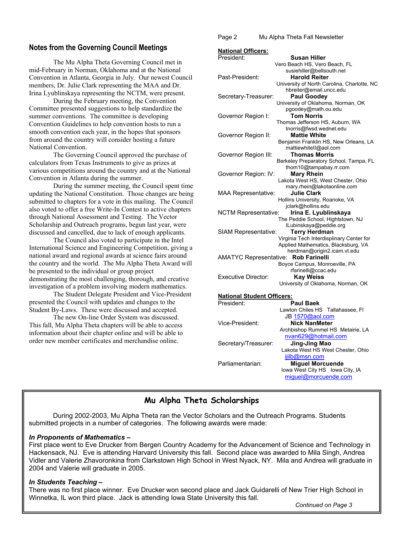#### **Notes from the Governing Council Meetings**

The Mu Alpha Theta Governing Council met in mid-February in Norman, Oklahoma and at the National Convention in Atlanta, Georgia in July. Our newest Council members, Dr. Julie Clark representing the MAA and Dr. Irina Lyublinskaya representing the NCTM, were present.

During the February meeting, the Convention Committee presented suggestions to help standardize the summer conventions. The committee is developing Convention Guidelines to help convention hosts to run a smooth convention each year, in the hopes that sponsors from around the country will consider hosting a future National Convention.

The Governing Council approved the purchase of calculators from Texas Instruments to give as prizes at various competitions around the country and at the National Convention in Atlanta during the summer.

During the summer meeting, the Council spent time updating the National Constitution. Those changes are being submitted to chapters for a vote in this mailing. The Council also voted to offer a free Write-In Contest to active chapters through National Assessment and Testing. The Vector Scholarship and Outreach programs, begun last year, were discussed and cancelled, due to lack of enough applicants.

The Council also voted to participate in the Intel International Science and Engineering Competition, giving a national award and regional awards at science fairs around the country and the world. The Mu Alpha Theta Award will be presented to the individual or group project demonstrating the most challenging, thorough, and creative investigation of a problem involving modern mathematics.

The Student Delegate President and Vice-President presented the Council with updates and changes to the Student By-Laws. These were discussed and accepted.

The new On-line Order System was discussed. This fall, Mu Alpha Theta chapters will be able to access information about their chapter online and will be able to order new member certificates and merchandise online.

Page 2 Mu Alpha Theta Fall Newsletter

| <b>National Officers:</b>                            |                                                                                 |
|------------------------------------------------------|---------------------------------------------------------------------------------|
| President:                                           | Susan Hiller                                                                    |
|                                                      | Vero Beach HS, Vero Beach, FL                                                   |
|                                                      | susiehiller@bellsouth.net                                                       |
| Past-President:                                      | <b>Harold Reiter</b>                                                            |
|                                                      | University of North Carolina, Charlotte, NC                                     |
|                                                      | hbreiter@email.uncc.edu                                                         |
| Secretary-Treasurer:                                 | <b>Paul Goodey</b>                                                              |
|                                                      | University of Oklahoma, Norman, OK                                              |
|                                                      | pgoodey@math.ou.edu                                                             |
| Governor Region I:                                   | <b>Tom Norris</b>                                                               |
|                                                      | Thomas Jefferson HS, Auburn, WA                                                 |
|                                                      | tnorris@fwsd.wednet.edu                                                         |
| Governor Region II:                                  | <b>Mattie White</b>                                                             |
|                                                      | Benjamin Franklin HS, New Orleans, LA<br>mattiewhitell@aol.com                  |
| Governor Region III:                                 | <b>Thomas Morris</b>                                                            |
|                                                      | Berkeley Preparatory School, Tampa, FL                                          |
|                                                      | thom10@tampabay.rr.com                                                          |
| Governor Region: IV:                                 | <b>Mary Rhein</b>                                                               |
|                                                      | Lakota West HS, West Chester, Ohio                                              |
|                                                      | mary.rhein@lakotaonline.com                                                     |
| <b>MAA Representative:</b>                           | <b>Julie Clark</b>                                                              |
|                                                      | Hollins University, Roanoke, VA                                                 |
|                                                      | jclark@hollins.edu                                                              |
| Irina E. Lyublinskaya<br><b>NCTM Representative:</b> |                                                                                 |
|                                                      | The Peddie School, Hightstown, NJ                                               |
| ILubinskaya@peddie.org                               |                                                                                 |
| <b>Terry Herdman</b><br>SIAM Representative:         |                                                                                 |
|                                                      | Virginia Tech Interdisplinary Center for<br>Applied Mathematics, Blacksburg, VA |
|                                                      | herdman@origin2.icam.vt.edu                                                     |
| <b>AMATYC Representative:</b>                        | <b>Rob Farinelli</b>                                                            |
| Boyce Campus, Monroeville, PA                        |                                                                                 |
|                                                      | rfarinelli@ccac.edu                                                             |
| <b>Executive Director:</b>                           | <b>Kay Weiss</b>                                                                |
|                                                      | University of Oklahoma, Norman, OK                                              |
|                                                      |                                                                                 |
| <b>National Student Officers:</b>                    |                                                                                 |
| President:                                           | <b>Paul Baek</b>                                                                |
|                                                      | Lawton Chiles HS Tallahassee, FI                                                |
|                                                      | JB 1570@aol.com                                                                 |
| Vice-President:                                      | <b>Nick NanMeter</b>                                                            |
|                                                      | Archbishop Rummel HS Metairie, LA                                               |
|                                                      | nvan629@hotmail.com                                                             |
|                                                      |                                                                                 |

Secretary/Treasurer: **Jing-Jing Mao**  Lakota West HS West Chester, Ohio ijilb@msn.com Parliamentarian: **Miguel Morcuende** Iowa West City HSIowa City, IA

miguel@morcuende.com

#### **Mu Alpha Theta Scholarships**

 During 2002-2003, Mu Alpha Theta ran the Vector Scholars and the Outreach Programs. Students submitted projects in a number of categories. The following awards were made:

#### *In Proponents of Mathematics –*

 First place went to Eve Drucker from Bergen Country Academy for the Advancement of Science and Technology in Hackensack, NJ. Eve is attending Harvard University this fall. Second place was awarded to Mila Singh, Andrea  Vidler and Valerie Zhavoronkina from Clarkstown High School in West Nyack, NY. Mila and Andrea will graduate in *Page 2 <b>1 Page 2 <b>1 <i>Page 2 <b>Page 2 Page 2 <b><i>Page 2 <b>Page 2* 2004 and Valerie will graduate in 2005.

## *In Students Teaching –*

There was no first place winner. Eve Drucker won second place and Jack Guidarelli of New Trier High School in Winnetka, IL won third place. Jack is attending Iowa State University this fall.

*Continued on Page 3*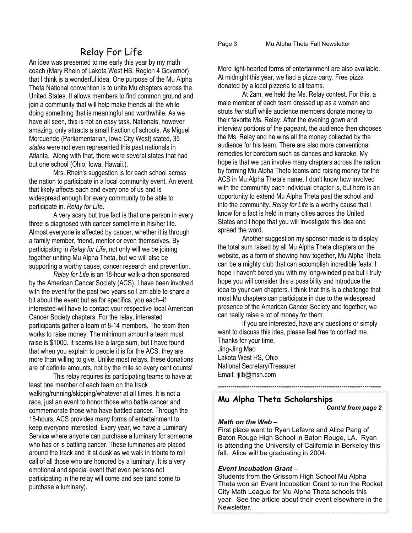#### Page 3 Mu Alpha Theta Fall Newsletter

## Relay For Life

An idea was presented to me early this year by my math coach (Mary Rhein of Lakota West HS, Region 4 Governor) that I think is a wonderful idea. One purpose of the Mu Alpha Theta National convention is to unite Mu chapters across the United States. It allows members to find common ground and join a community that will help make friends all the while doing something that is meaningful and worthwhile. As we have all seen, this is not an easy task. Nationals, however amazing, only attracts a small fraction of schools. As Miguel Morcuende (Parliamentarian, Iowa City West) stated, 35 *states* were not even represented this past nationals in Atlanta. Along with that, there were several states that had but one school (Ohio, Iowa, Hawaii.).

Mrs. Rhein's suggestion is for each school across the nation to participate in a local community event. An event that likely affects each and every one of us and is widespread enough for every community to be able to participate in. *Relay for Life*.

A very scary but true fact is that one person in every three is diagnosed with cancer sometime in his/her life. Almost everyone is affected by cancer, whether it is through a family member, friend, mentor or even themselves. By participating in *Relay for Life*, not only will we be joining together uniting Mu Alpha Theta, but we will also be supporting a worthy cause, cancer research and prevention.

*Relay for Life* is an 18-hour walk-a-thon sponsored by the American Cancer Society (ACS). I have been involved with the event for the past two years so I am able to share a bit about the event but as for specifics, you each--if interested-will have to contact your respective local American Cancer Society chapters. For the relay, interested participants gather a team of 8-14 members. The team then works to raise money. The minimum amount a team must raise is \$1000. It seems like a large sum, but I have found that when you explain to people it is for the ACS, they are more than willing to give. Unlike most relays, these donations are of definite amounts, not by the mile so every cent counts!

This relay requires its participating teams to have at least one member of each team on the track walking/running/skipping/whatever at all times. It is not a race, just an event to honor those who battle cancer and commemorate those who have battled cancer. Through the 18-hours, ACS provides many forms of entertainment to keep everyone interested. Every year, we have a Luminary Service where anyone can purchase a luminary for someone who has or is battling cancer. These luminaries are placed around the track and lit at dusk as we walk in tribute to roll call of all those who are honored by a luminary. It is a very emotional and special event that even persons not participating in the relay will come and see (and some to purchase a luminary).

More light-hearted forms of entertainment are also available. At midnight this year, we had a pizza party. Free pizza donated by a local pizzeria to all teams.

At 2am, we held the Ms. Relay contest. For this, a male member of each team dressed up as a woman and struts *her* stuff while audience members donate money to their favorite Ms. Relay. After the evening gown and interview portions of the pageant, the audience then chooses the Ms. Relay and he wins all the money collected by the audience for his team. There are also more conventional remedies for boredom such as dances and karaoke. My hope is that we can involve many chapters across the nation by forming Mu Alpha Theta teams and raising money for the ACS in Mu Alpha Theta's name. I don't know how involved with the community each individual chapter is, but here is an opportunity to extend Mu Alpha Theta past the school and into the community. *Relay for Life* is a worthy cause that I know for a fact is held in many cities across the United States and I hope that you will investigate this idea and spread the word.

Another suggestion my sponsor made is to display the total sum raised by all Mu Alpha Theta chapters on the website, as a form of showing how together, Mu Alpha Theta can be a mighty club that can accomplish incredible feats. I hope I haven't bored you with my long-winded plea but I truly hope you will consider this a possibility and introduce the idea to your own chapters. I think that this is a challenge that most Mu chapters can participate in due to the widespread presence of the American Cancer Society and together, we can really raise a lot of money for them.

If you are interested, have any questions or simply want to discuss this idea, please feel free to contact me. Thanks for your time, Jing-Jing Mao Lakota West HS, Ohio National Secretary/Treasurer Email: ijilb@msn.com

\*\*\*\*\*\*\*\*\*\*\*\*\*\*\*\*\*\*\*\*\*\*\*\*\*\*\*\*\*\*\*\*\*\*\*\*\*\*\*\*\*\*\*\*\*\*\*\*\*\*\*\*\*\*\*\*\*\*\*\*\*\*\*\*\*\*\*\*\*\*\*\*\*\*\*\*\*\*

## **Mu Alpha Theta Scholarships**

 *Cont'd from page 2* 

#### *Math on the Web –*

First place went to Ryan Lefevre and Alice Pang of Baton Rouge High School in Baton Rouge, LA. Ryan is attending the University of California in Berkeley this fall. Alice will be graduating in 2004.

#### *Event Incubation Grant –*

Students from the Grissom High School Mu Alpha Theta won an Event Incubation Grant to run the Rocket City Math League for Mu Alpha Theta schools this year. See the article about their event elsewhere in the Newsletter.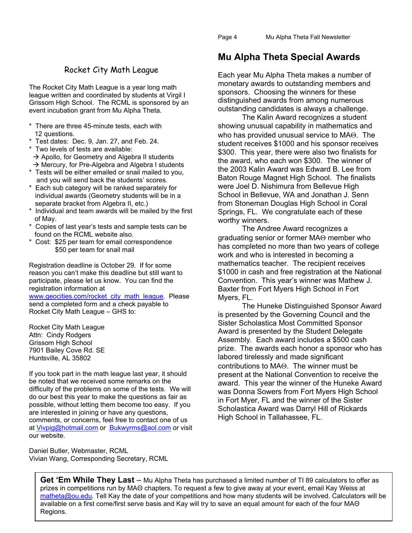## Rocket City Math League

The Rocket City Math League is a year long math league written and coordinated by students at Virgil I Grissom High School. The RCML is sponsored by an event incubation grant from Mu Alpha Theta.

- \* There are three 45-minute tests, each with 12 questions.
- \* Test dates: Dec. 9, Jan. 27, and Feb. 24.
- \* Two levels of tests are available:
- $\rightarrow$  Apollo, for Geometry and Algebra II students
- $\rightarrow$  Mercury, for Pre-Algebra and Algebra I students \* Tests will be either emailed or snail mailed to you,
- and you will send back the students' scores. \* Each sub category will be ranked separately for individual awards (Geometry students will be in a separate bracket from Algebra II, etc.)
- \* Individual and team awards will be mailed by the first of May.
- \* Copies of last year's tests and sample tests can be found on the RCML website also.
- \* Cost: \$25 per team for email correspondence \$50 per team for snail mail

Registration deadline is October 29. If for some reason you can't make this deadline but still want to participate, please let us know. You can find the registration information at

www.geocities.com/rocket\_city\_math\_league. Please send a completed form and a check payable to Rocket City Math League – GHS to:

Rocket City Math League Attn: Cindy Rodgers Grissom High School 7901 Bailey Cove Rd. SE Huntsville, AL 35802

If you took part in the math league last year, it should be noted that we received some remarks on the difficulty of the problems on some of the tests. We will do our best this year to make the questions as fair as possible, without letting them become too easy. If you are interested in joining or have any questions, comments, or concerns, feel free to contact one of us at Vivpig@hotmail.com or Bukwyrms@aol.com or visit our website.

Daniel Butler, Webmaster, RCML Vivian Wang, Corresponding Secretary, RCML

## **Mu Alpha Theta Special Awards**

Each year Mu Alpha Theta makes a number of monetary awards to outstanding members and sponsors. Choosing the winners for these distinguished awards from among numerous outstanding candidates is always a challenge.

 The Kalin Award recognizes a student showing unusual capability in mathematics and who has provided unusual service to MAΘ. The student receives \$1000 and his sponsor receives \$300. This year, there were also two finalists for the award, who each won \$300. The winner of the 2003 Kalin Award was Edward B. Lee from Baton Rouge Magnet High School. The finalists were Joel D. Nishimura from Bellevue High School in Bellevue, WA and Jonathan J. Senn from Stoneman Douglas High School in Coral Springs, FL. We congratulate each of these worthy winners.

 The Andree Award recognizes a graduating senior or former MAΘ member who has completed no more than two years of college work and who is interested in becoming a mathematics teacher. The recipient receives \$1000 in cash and free registration at the National Convention. This year's winner was Mathew J. Baxter from Fort Myers High School in Fort Myers, FL.

 The Huneke Distinguished Sponsor Award is presented by the Governing Council and the Sister Scholastica Most Committed Sponsor Award is presented by the Student Delegate Assembly. Each award includes a \$500 cash prize. The awards each honor a sponsor who has labored tirelessly and made significant contributions to MAΘ. The winner must be present at the National Convention to receive the award. This year the winner of the Huneke Award was Donna Sowers from Fort Myers High School in Fort Myer, FL and the winner of the Sister Scholastica Award was Darryl Hill of Rickards High School in Tallahassee, FL.

**Get 'Em While They Last** – Mu Alpha Theta has purchased a limited number of TI 89 calculators to offer as prizes in competitions run by MAΘ chapters. To request a few to give away at your event, email Kay Weiss at matheta@ou.edu. Tell Kay the date of your competitions and how many students will be involved. Calculators will be available on a first come/first serve basis and Kay will try to save an equal amount for each of the four MAΘ Regions.